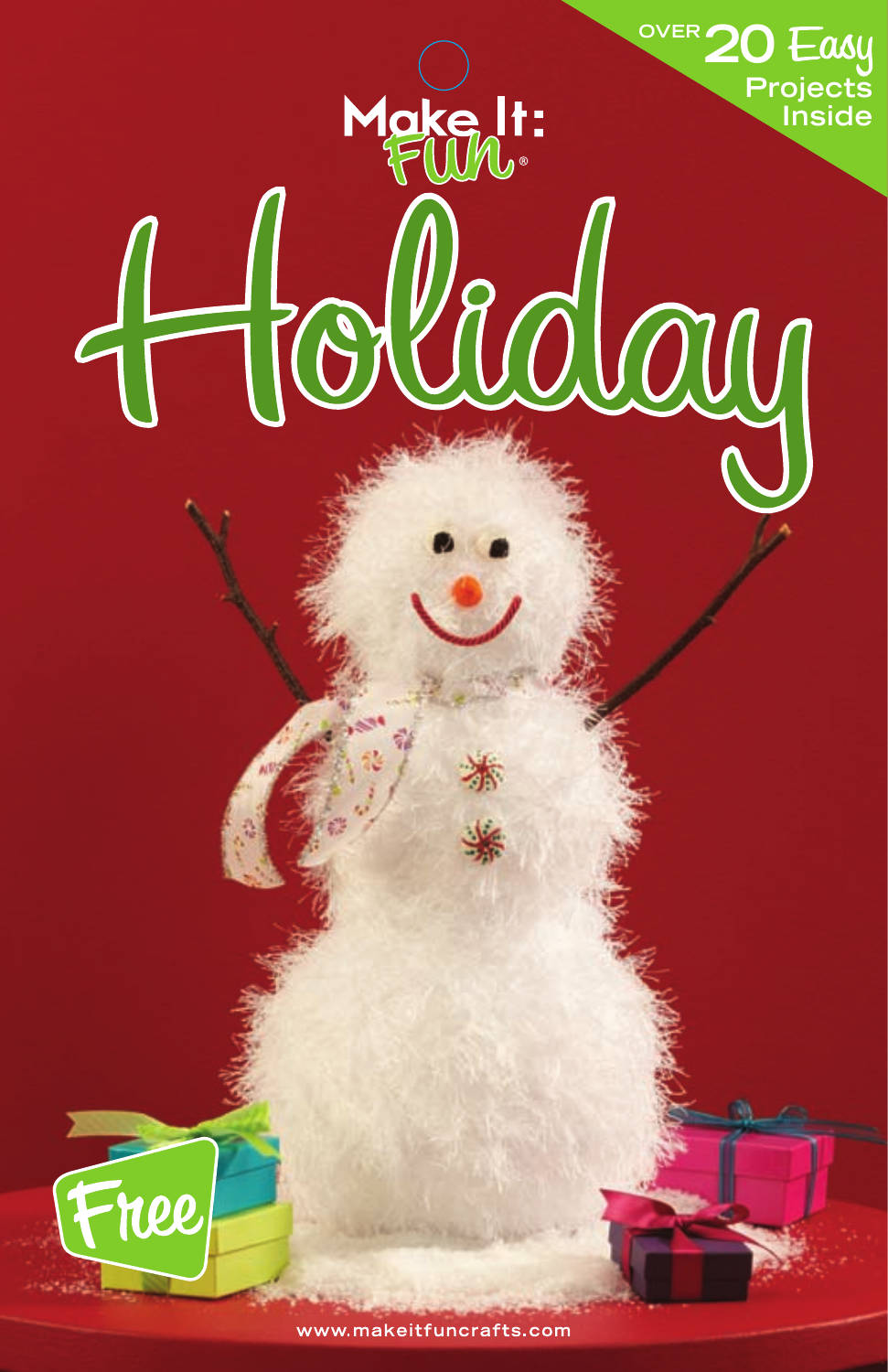

www.makeitfuncrafts.com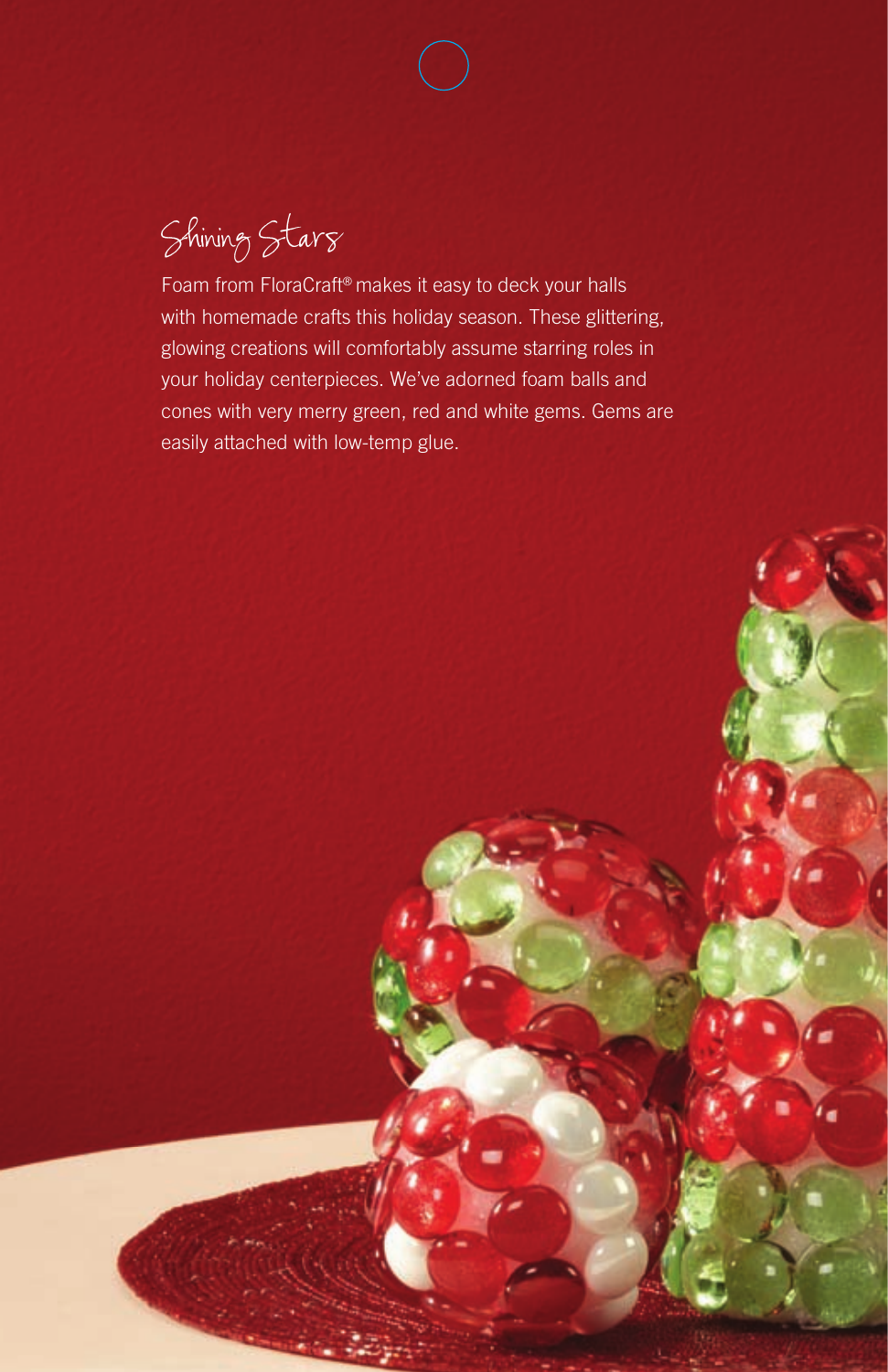Shining Stars

Foam from FloraCraft® makes it easy to deck your halls with homemade crafts this holiday season. These glittering, glowing creations will comfortably assume starring roles in your holiday centerpieces. We've adorned foam balls and cones with very merry green, red and white gems. Gems are easily attached with low-temp glue.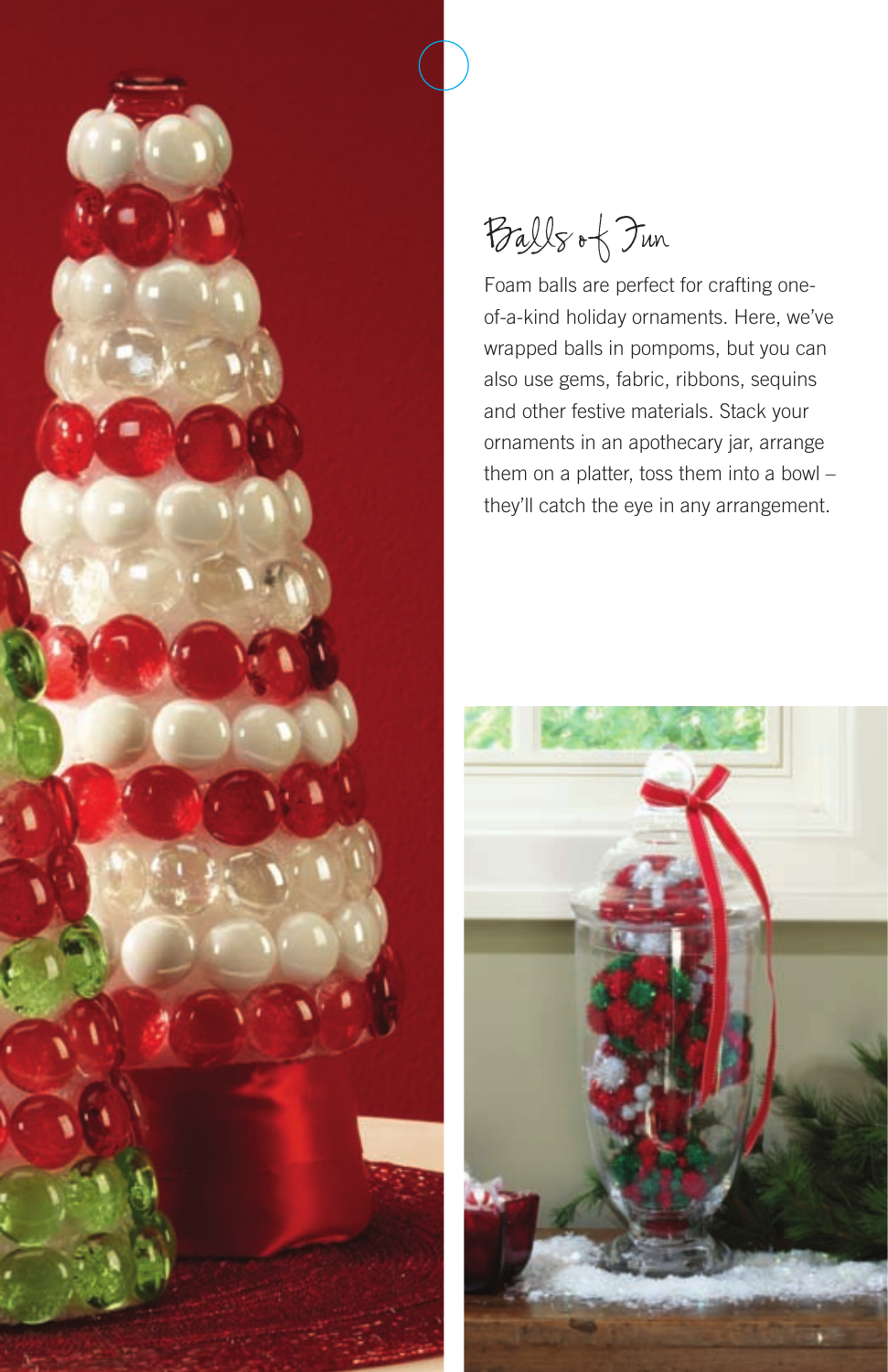

Balls of Fun

Foam balls are perfect for crafting oneof-a-kind holiday ornaments. Here, we've wrapped balls in pompoms, but you can also use gems, fabric, ribbons, sequins and other festive materials. Stack your ornaments in an apothecary jar, arrange them on a platter, toss them into a bowl – they'll catch the eye in any arrangement.

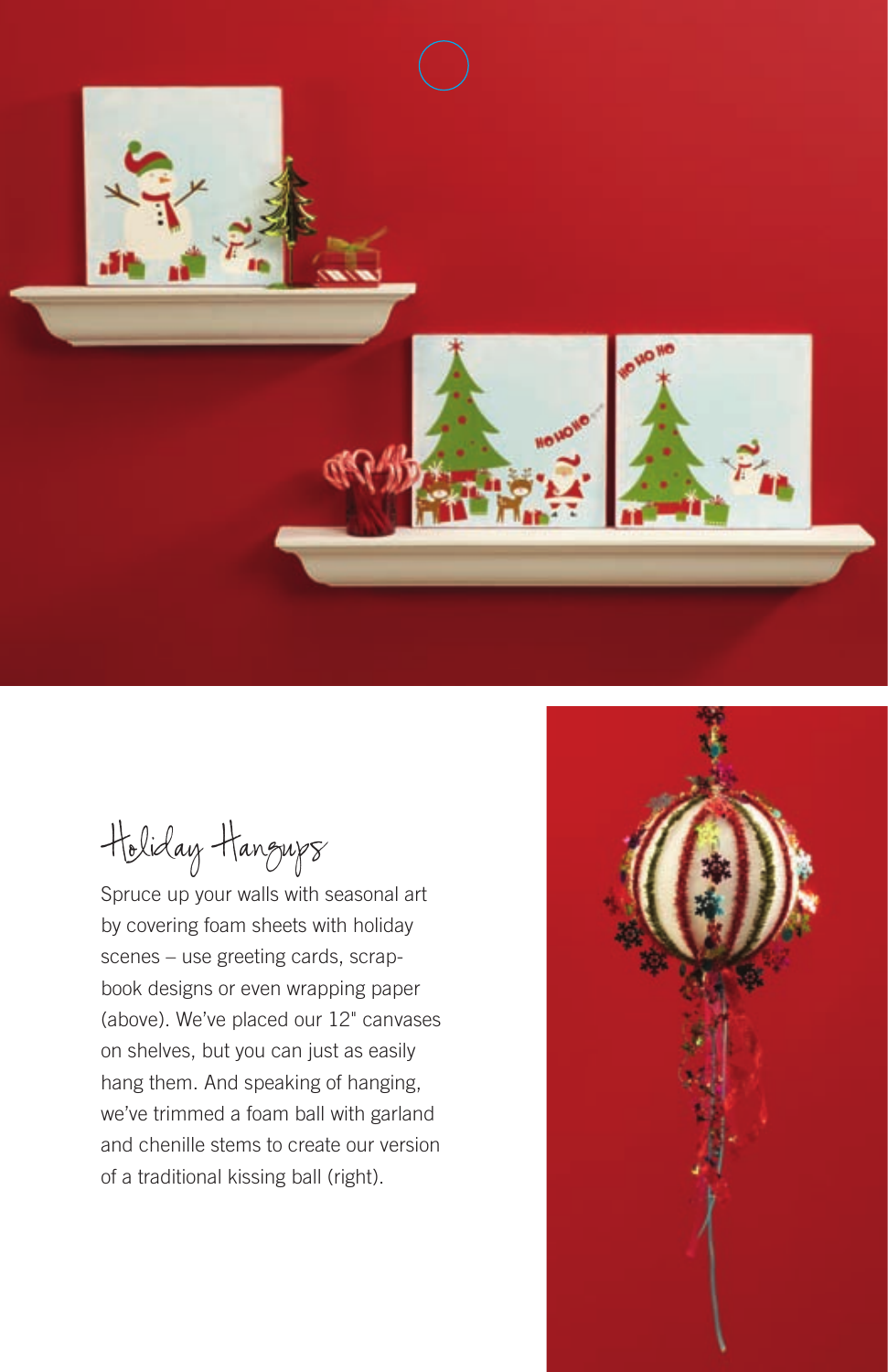

Holiday Hangups

Spruce up your walls with seasonal art by covering foam sheets with holiday scenes – use greeting cards, scrapbook designs or even wrapping paper (above). We've placed our 12" canvases on shelves, but you can just as easily hang them. And speaking of hanging, we've trimmed a foam ball with garland and chenille stems to create our version of a traditional kissing ball (right).

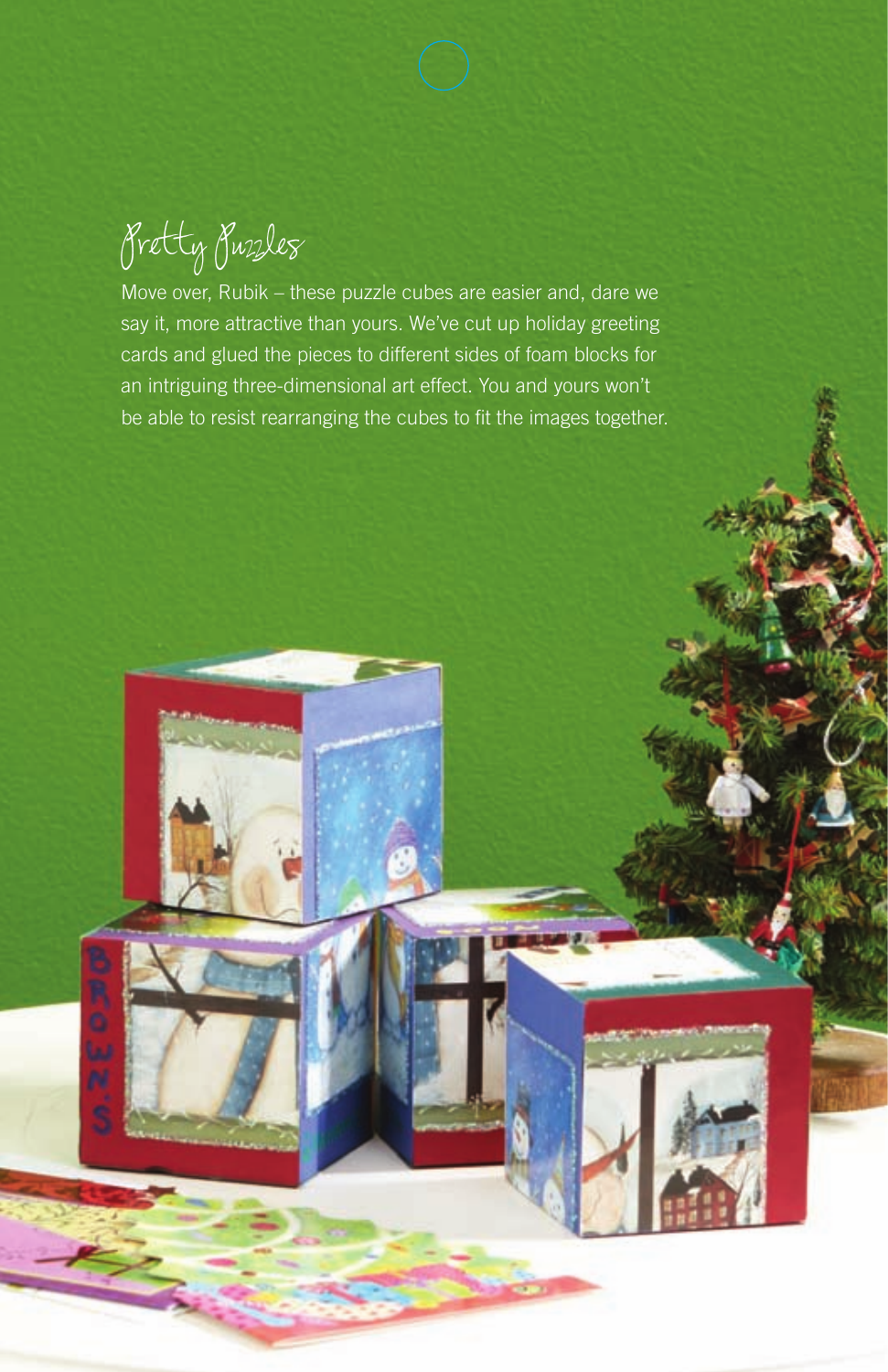Pretty Puzzles

S

Move over, Rubik – these puzzle cubes are easier and, dare we say it, more attractive than yours. We've cut up holiday greeting cards and glued the pieces to different sides of foam blocks for an intriguing three-dimensional art effect. You and yours won't be able to resist rearranging the cubes to fit the images together.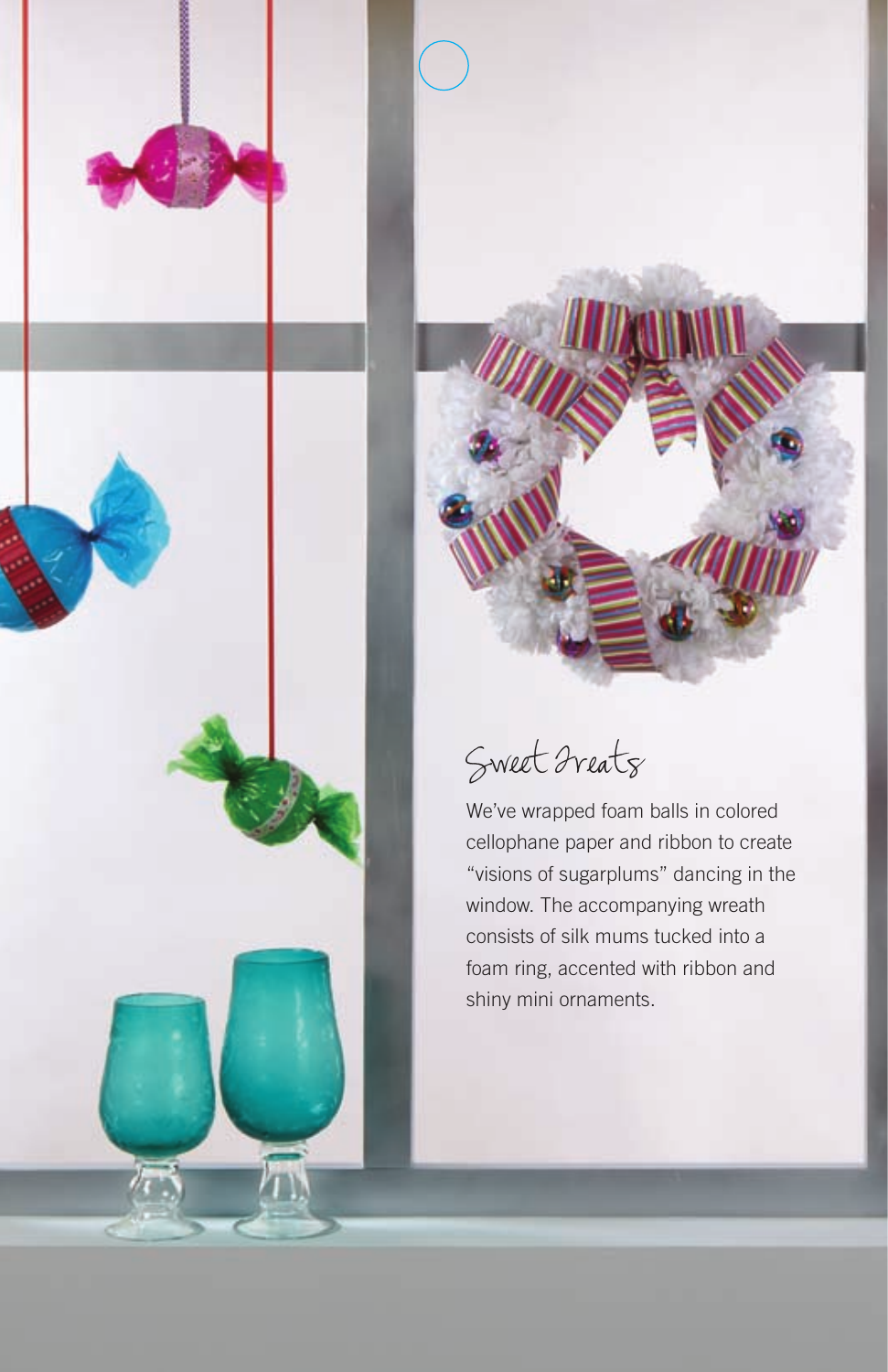



Sweet Freats

We've wrapped foam balls in colored cellophane paper and ribbon to create "visions of sugarplums" dancing in the window. The accompanying wreath consists of silk mums tucked into a foam ring, accented with ribbon and shiny mini ornaments.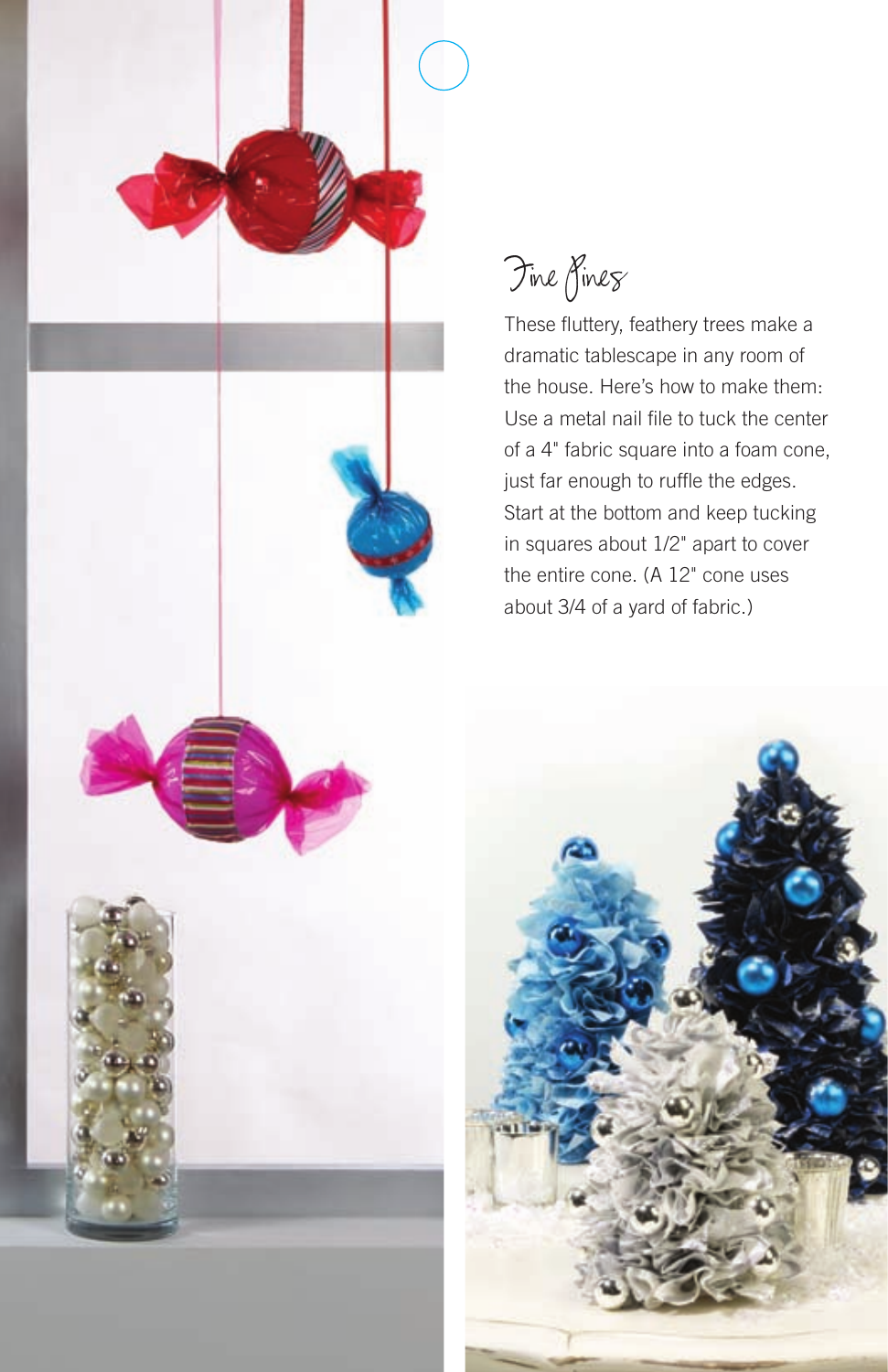



These fluttery, feathery trees make a dramatic tablescape in any room of the house. Here's how to make them: Use a metal nail file to tuck the center of a 4" fabric square into a foam cone, just far enough to ruffle the edges. Start at the bottom and keep tucking in squares about 1/2" apart to cover the entire cone. (A 12" cone uses about 3/4 of a yard of fabric.)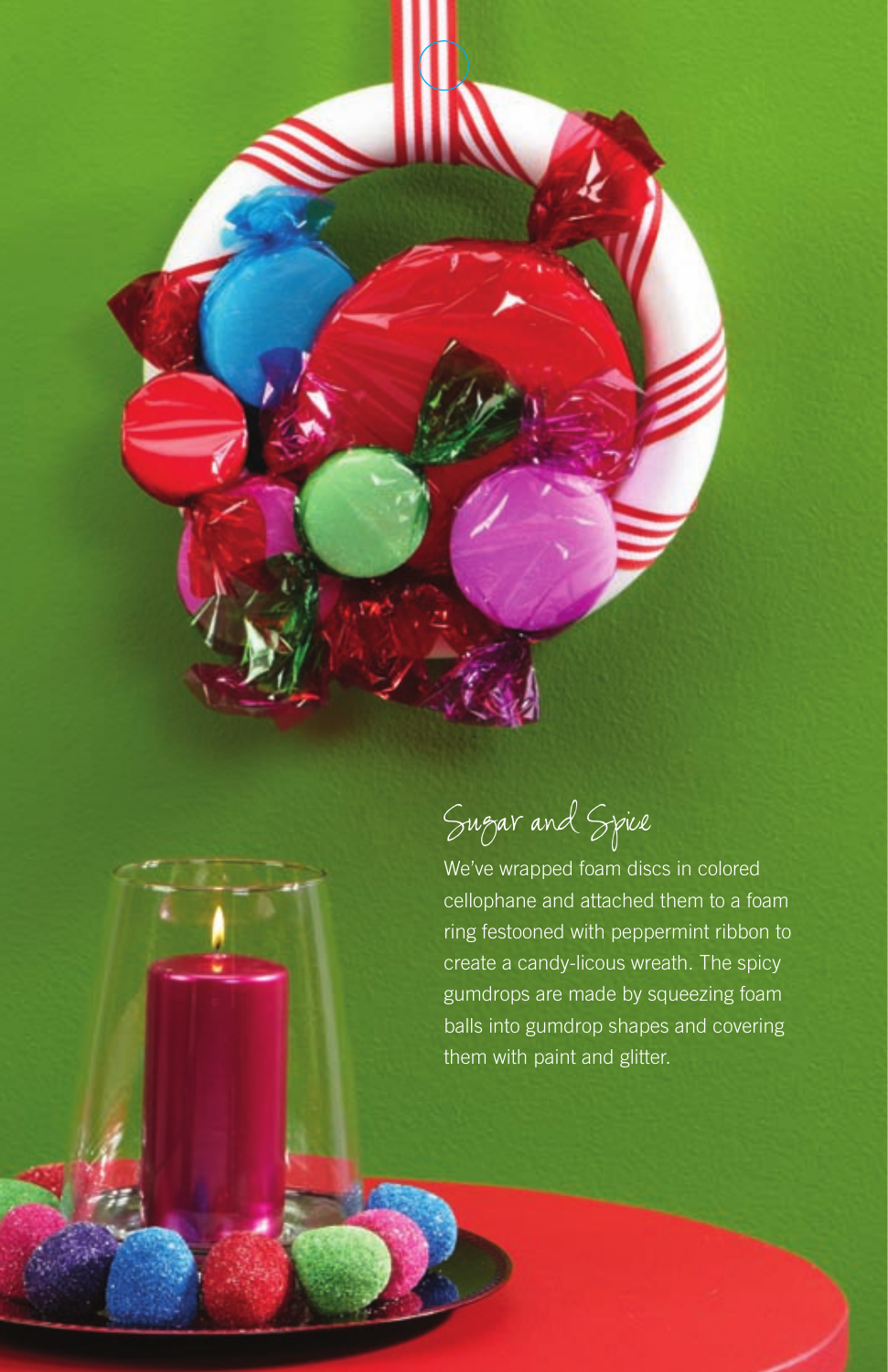

Sugar and Spice

We've wrapped foam discs in colored cellophane and attached them to a foam ring festooned with peppermint ribbon to create a candy-licous wreath. The spicy gumdrops are made by squeezing foam balls into gumdrop shapes and covering them with paint and glitter.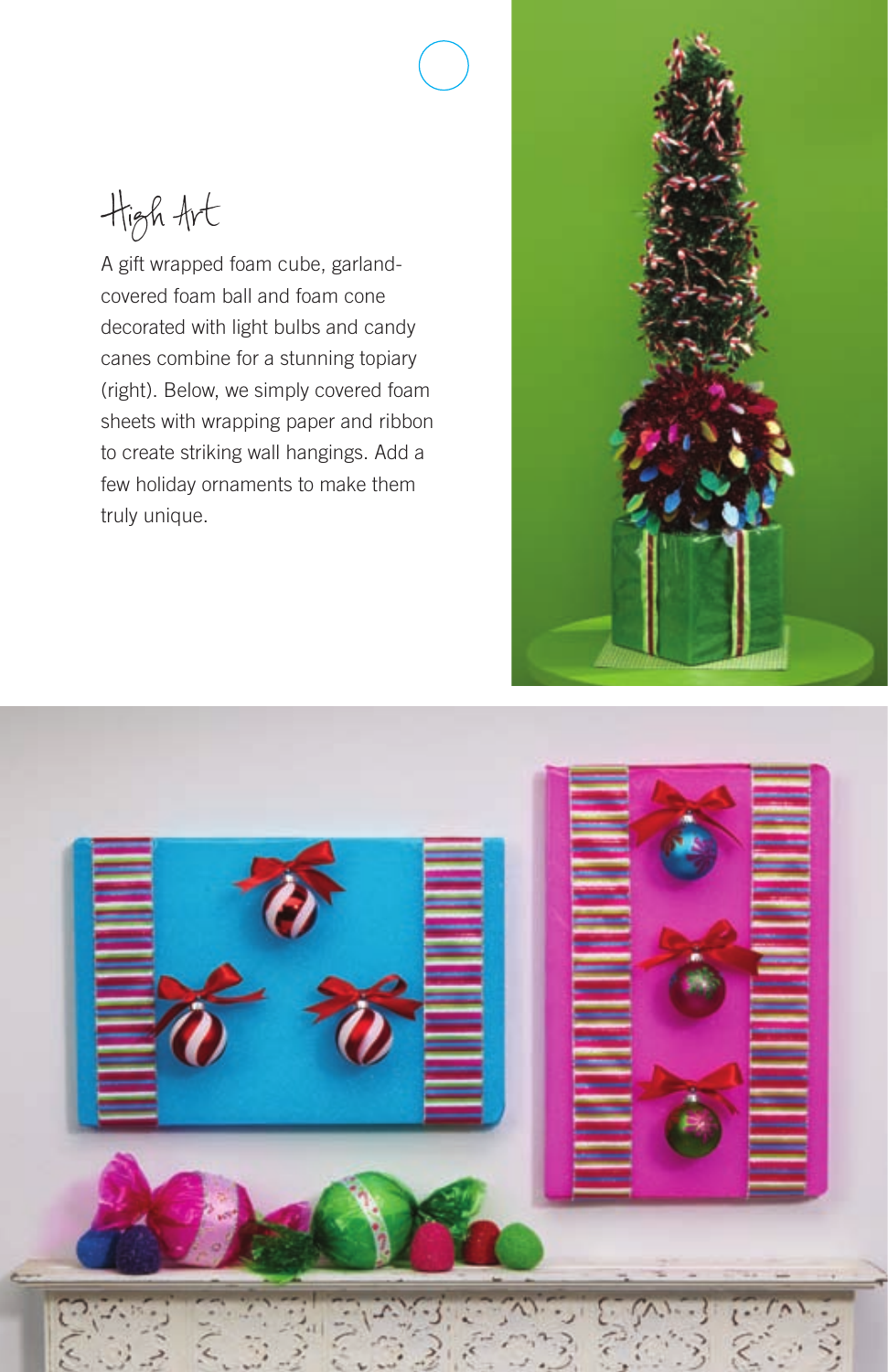High Art

A gift wrapped foam cube, garlandcovered foam ball and foam cone decorated with light bulbs and candy canes combine for a stunning topiary (right). Below, we simply covered foam sheets with wrapping paper and ribbon to create striking wall hangings. Add a few holiday ornaments to make them truly unique.



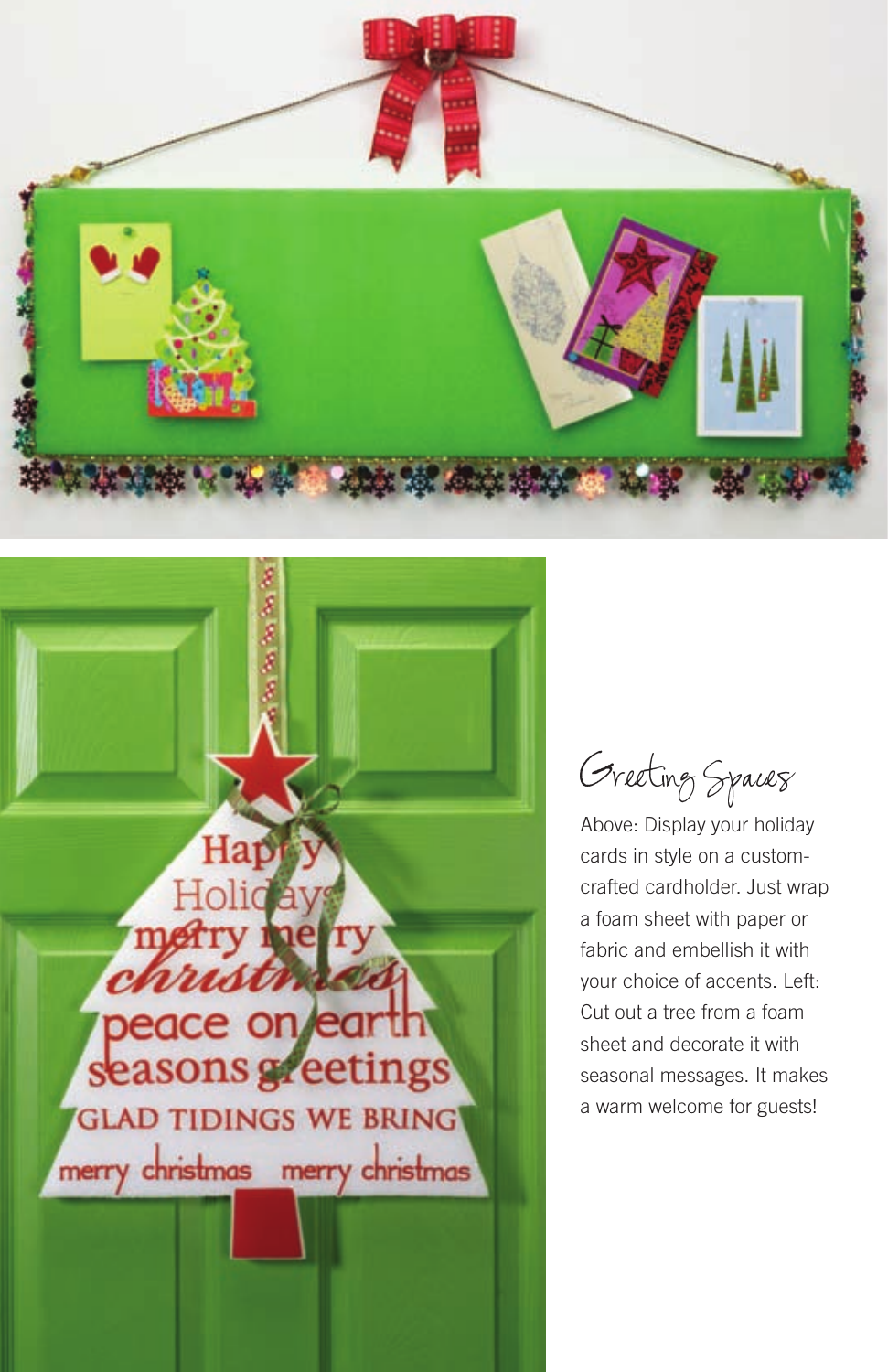



Greeting Spaces

Above: Display your holiday cards in style on a customcrafted cardholder. Just wrap a foam sheet with paper or fabric and embellish it with your choice of accents. Left: Cut out a tree from a foam sheet and decorate it with seasonal messages. It makes a warm welcome for guests!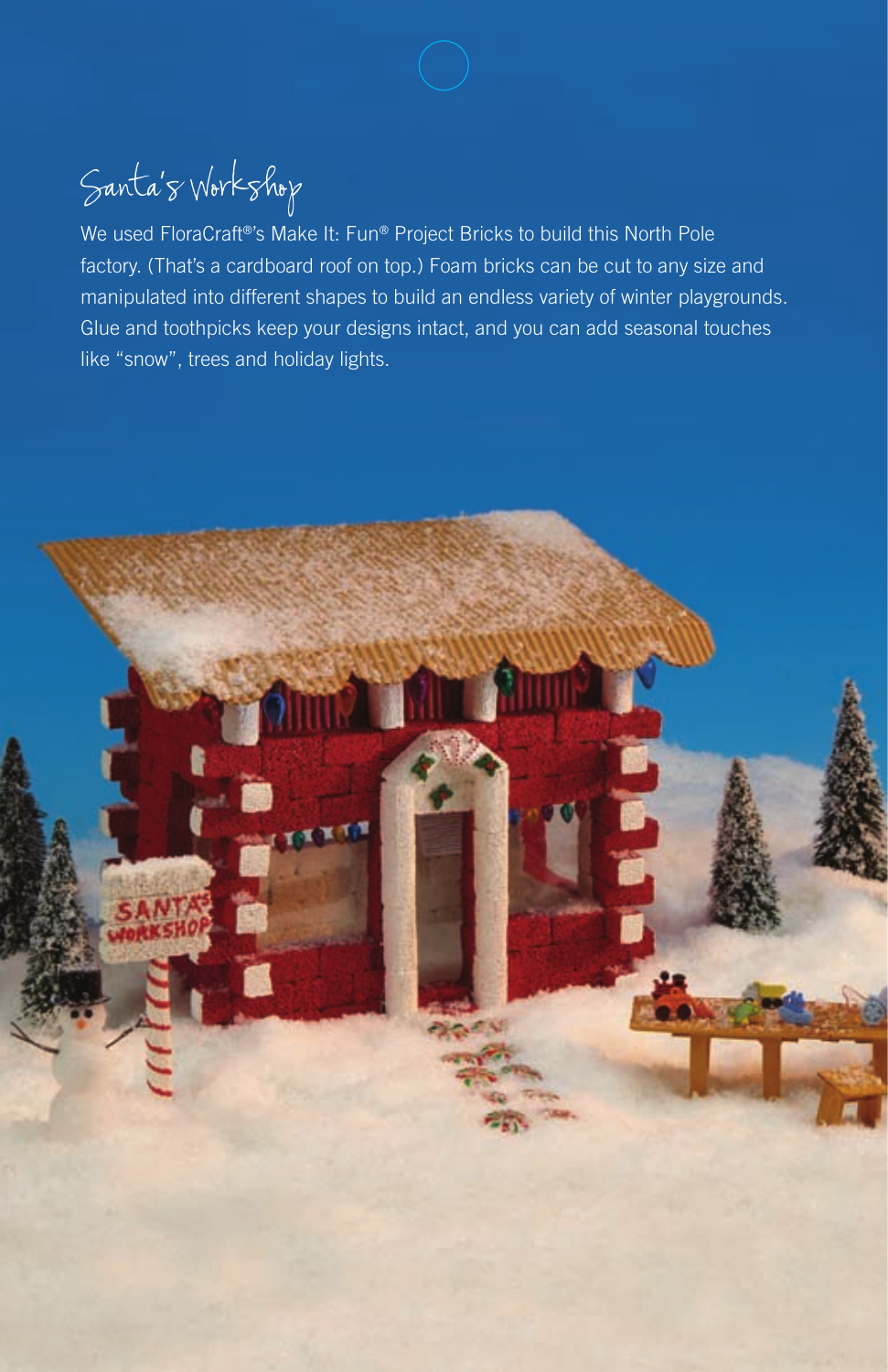Santa's Workshop

We used FloraCraft®'s Make It: Fun® Project Bricks to build this North Pole factory. (That's a cardboard roof on top.) Foam bricks can be cut to any size and manipulated into different shapes to build an endless variety of winter playgrounds. Glue and toothpicks keep your designs intact, and you can add seasonal touches like "snow", trees and holiday lights.